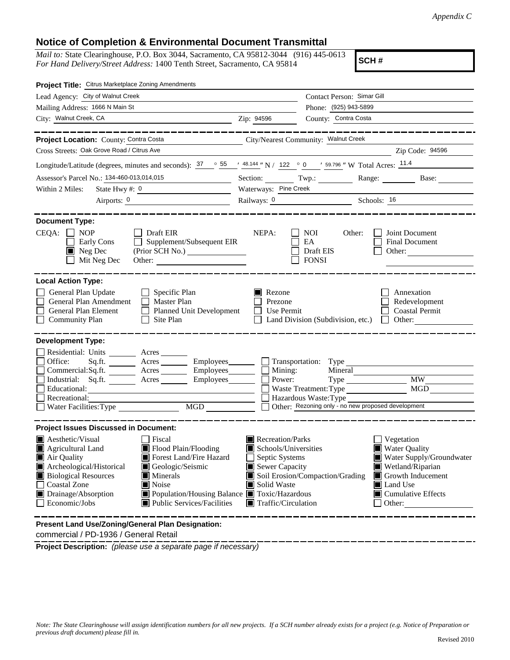## **Notice of Completion & Environmental Document Transmittal**

*Mail to:* State Clearinghouse, P.O. Box 3044, Sacramento, CA 95812-3044 (916) 445-0613 *For Hand Delivery/Street Address:* 1400 Tenth Street, Sacramento, CA 95814

**SCH #**

| Project Title: Citrus Marketplace Zoning Amendments                                                                                                                                                                                                                                                                                                                                                     |                                                                                                                                                                      |                                                                                                                                                             |                                                                                                                                                                     |
|---------------------------------------------------------------------------------------------------------------------------------------------------------------------------------------------------------------------------------------------------------------------------------------------------------------------------------------------------------------------------------------------------------|----------------------------------------------------------------------------------------------------------------------------------------------------------------------|-------------------------------------------------------------------------------------------------------------------------------------------------------------|---------------------------------------------------------------------------------------------------------------------------------------------------------------------|
| Lead Agency: City of Walnut Creek                                                                                                                                                                                                                                                                                                                                                                       | Contact Person: Simar Gill                                                                                                                                           |                                                                                                                                                             |                                                                                                                                                                     |
| Mailing Address: 1666 N Main St                                                                                                                                                                                                                                                                                                                                                                         | Phone: (925) 943-5899                                                                                                                                                |                                                                                                                                                             |                                                                                                                                                                     |
| City: Walnut Creek, CA<br><u> 1989 - Johann Barbara, martin amerikan personal (</u>                                                                                                                                                                                                                                                                                                                     | Zip: 94596                                                                                                                                                           | County: Contra Costa                                                                                                                                        |                                                                                                                                                                     |
| Project Location: County: Contra Costa                                                                                                                                                                                                                                                                                                                                                                  |                                                                                                                                                                      | City/Nearest Community: Walnut Creek                                                                                                                        | __________                                                                                                                                                          |
| Cross Streets: Oak Grove Road / Citrus Ave                                                                                                                                                                                                                                                                                                                                                              |                                                                                                                                                                      |                                                                                                                                                             | Zip Code: 94596                                                                                                                                                     |
| Longitude/Latitude (degrees, minutes and seconds): $\frac{37}{25}$ $\frac{37}{25}$ $\frac{48.144}{2}$ N / 122 $\degree$ 0 $\degree$ 59.796 " W Total Acres: $\frac{11.4}{25}$                                                                                                                                                                                                                           |                                                                                                                                                                      |                                                                                                                                                             |                                                                                                                                                                     |
| Assessor's Parcel No.: 134-460-013,014,015                                                                                                                                                                                                                                                                                                                                                              |                                                                                                                                                                      |                                                                                                                                                             | Section: Twp.: Range: Base:                                                                                                                                         |
| Within 2 Miles:<br>State Hwy #: $0$<br><u> 1990 - Johann Barn, mars ann an t-Amhair ann an t-</u>                                                                                                                                                                                                                                                                                                       | Waterways: Pine Creek                                                                                                                                                |                                                                                                                                                             |                                                                                                                                                                     |
| Airports: $\frac{0}{1}$                                                                                                                                                                                                                                                                                                                                                                                 |                                                                                                                                                                      |                                                                                                                                                             | Railways: 0 Schools: 16                                                                                                                                             |
| <b>Document Type:</b><br>$CEQA: \Box NP$<br>  Draft EIR<br>Supplement/Subsequent EIR<br>Early Cons<br>$\blacksquare$ Neg Dec<br>Mit Neg Dec<br>Other:                                                                                                                                                                                                                                                   | NEPA:                                                                                                                                                                | <b>NOI</b><br>Other:<br>EA<br>Draft EIS<br><b>FONSI</b>                                                                                                     | Joint Document<br>Final Document<br>Other:                                                                                                                          |
| <b>Local Action Type:</b>                                                                                                                                                                                                                                                                                                                                                                               |                                                                                                                                                                      |                                                                                                                                                             |                                                                                                                                                                     |
| General Plan Update<br>$\Box$ Specific Plan<br>General Plan Amendment<br>$\Box$ Master Plan<br>General Plan Element<br>$\perp$<br>Planned Unit Development<br>$\Box$ Community Plan<br>Site Plan                                                                                                                                                                                                        | $\blacksquare$ Rezone<br>Prezone<br>$\Box$ Use Permit<br>Land Division (Subdivision, etc.)                                                                           |                                                                                                                                                             | Annexation<br>Redevelopment<br><b>Coastal Permit</b><br>$\Box$ Other:                                                                                               |
| <b>Development Type:</b><br>Residential: Units ________ Acres _______<br>Office:<br>Acres Employees Transportation: Type<br>Sq.ft.<br>$Commercial:Sq.fit.$ $\overline{\qquad}$ Acres $\overline{\qquad}$ Employees $\overline{\qquad}$ Mining:<br>Industrial: Sq.ft. _______ Acres ________ Employees_______<br>Educational:<br>Recreational:<br>Water Facilities: Type<br>MGD                          |                                                                                                                                                                      | Mineral<br>Power:<br>Waste Treatment: Type<br>Hazardous Waste: Type Theorem Container Point Cherrick Action Cherrick Action Cherrick Action Cherrick Action | MGD                                                                                                                                                                 |
| <b>Project Issues Discussed in Document:</b>                                                                                                                                                                                                                                                                                                                                                            |                                                                                                                                                                      |                                                                                                                                                             |                                                                                                                                                                     |
| <b>Aesthetic/Visual</b><br>Fiscal<br>Flood Plain/Flooding<br><b>Agricultural Land</b><br>IW<br>Air Quality<br>Forest Land/Fire Hazard<br>Archeological/Historical<br>Geologic/Seismic<br><b>Biological Resources</b><br>$\blacksquare$ Minerals<br><b>Coastal Zone</b><br>Noise<br>Drainage/Absorption<br>■ Population/Housing Balance ■ Toxic/Hazardous<br>Economic/Jobs<br>Public Services/Facilities | Recreation/Parks<br>Schools/Universities<br>Septic Systems<br>Sewer Capacity<br>Soil Erosion/Compaction/Grading<br>Solid Waste<br>$\blacksquare$ Traffic/Circulation |                                                                                                                                                             | Vegetation<br><b>Water Quality</b><br>Water Supply/Groundwater<br>Wetland/Riparian<br>Growth Inducement<br><b>I</b> Land Use<br>$\Box$ Cumulative Effects<br>Other: |

**Present Land Use/Zoning/General Plan Designation:** commercial / PD-1936 / General Retail

**Project Description:** *(please use a separate page if necessary)*